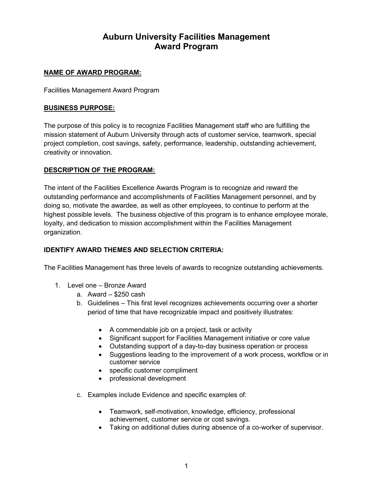# **Auburn University Facilities Management Award Program**

## **NAME OF AWARD PROGRAM:**

Facilities Management Award Program

### **BUSINESS PURPOSE:**

The purpose of this policy is to recognize Facilities Management staff who are fulfilling the mission statement of Auburn University through acts of customer service, teamwork, special project completion, cost savings, safety, performance, leadership, outstanding achievement, creativity or innovation.

### **DESCRIPTION OF THE PROGRAM:**

The intent of the Facilities Excellence Awards Program is to recognize and reward the outstanding performance and accomplishments of Facilities Management personnel, and by doing so, motivate the awardee, as well as other employees, to continue to perform at the highest possible levels. The business objective of this program is to enhance employee morale, loyalty, and dedication to mission accomplishment within the Facilities Management organization.

## **IDENTIFY AWARD THEMES AND SELECTION CRITERIA:**

The Facilities Management has three levels of awards to recognize outstanding achievements.

- 1. Level one Bronze Award
	- a. Award \$250 cash
	- b. Guidelines This first level recognizes achievements occurring over a shorter period of time that have recognizable impact and positively illustrates:
		- A commendable job on a project, task or activity
		- Significant support for Facilities Management initiative or core value
		- Outstanding support of a day-to-day business operation or process
		- Suggestions leading to the improvement of a work process, workflow or in customer service
		- specific customer compliment
		- professional development
	- c. Examples include Evidence and specific examples of:
		- Teamwork, self-motivation, knowledge, efficiency, professional achievement, customer service or cost savings.
		- Taking on additional duties during absence of a co-worker of supervisor.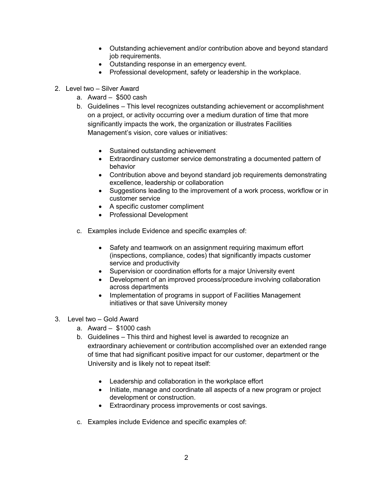- Outstanding achievement and/or contribution above and beyond standard job requirements.
- Outstanding response in an emergency event.
- Professional development, safety or leadership in the workplace.
- 2. Level two Silver Award
	- a. Award \$500 cash
	- b. Guidelines This level recognizes outstanding achievement or accomplishment on a project, or activity occurring over a medium duration of time that more significantly impacts the work, the organization or illustrates Facilities Management's vision, core values or initiatives:
		- Sustained outstanding achievement
		- Extraordinary customer service demonstrating a documented pattern of behavior
		- Contribution above and beyond standard job requirements demonstrating excellence, leadership or collaboration
		- Suggestions leading to the improvement of a work process, workflow or in customer service
		- A specific customer compliment
		- Professional Development
	- c. Examples include Evidence and specific examples of:
		- Safety and teamwork on an assignment requiring maximum effort (inspections, compliance, codes) that significantly impacts customer service and productivity
		- Supervision or coordination efforts for a major University event
		- Development of an improved process/procedure involving collaboration across departments
		- Implementation of programs in support of Facilities Management initiatives or that save University money
- 3. Level two Gold Award
	- a. Award \$1000 cash
	- b. Guidelines This third and highest level is awarded to recognize an extraordinary achievement or contribution accomplished over an extended range of time that had significant positive impact for our customer, department or the University and is likely not to repeat itself:
		- Leadership and collaboration in the workplace effort
		- Initiate, manage and coordinate all aspects of a new program or project development or construction.
		- Extraordinary process improvements or cost savings.
	- c. Examples include Evidence and specific examples of: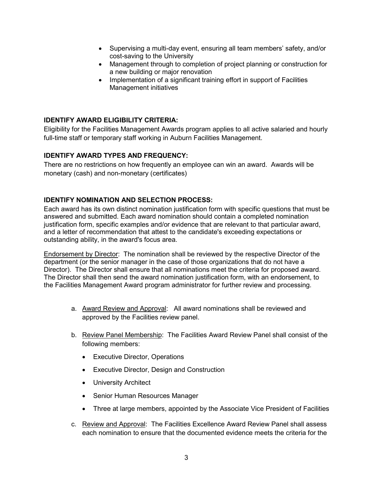- Supervising a multi-day event, ensuring all team members' safety, and/or cost-saving to the University
- Management through to completion of project planning or construction for a new building or major renovation
- Implementation of a significant training effort in support of Facilities Management initiatives

## **IDENTIFY AWARD ELIGIBILITY CRITERIA:**

Eligibility for the Facilities Management Awards program applies to all active salaried and hourly full-time staff or temporary staff working in Auburn Facilities Management.

### **IDENTIFY AWARD TYPES AND FREQUENCY:**

There are no restrictions on how frequently an employee can win an award. Awards will be monetary (cash) and non-monetary (certificates)

### **IDENTIFY NOMINATION AND SELECTION PROCESS:**

Each award has its own distinct nomination justification form with specific questions that must be answered and submitted. Each award nomination should contain a completed nomination justification form, specific examples and/or evidence that are relevant to that particular award, and a letter of recommendation that attest to the candidate's exceeding expectations or outstanding ability, in the award's focus area.

Endorsement by Director: The nomination shall be reviewed by the respective Director of the department (or the senior manager in the case of those organizations that do not have a Director). The Director shall ensure that all nominations meet the criteria for proposed award. The Director shall then send the award nomination justification form, with an endorsement, to the Facilities Management Award program administrator for further review and processing.

- a. Award Review and Approval: All award nominations shall be reviewed and approved by the Facilities review panel.
- b. Review Panel Membership: The Facilities Award Review Panel shall consist of the following members:
	- Executive Director, Operations
	- Executive Director, Design and Construction
	- University Architect
	- Senior Human Resources Manager
	- Three at large members, appointed by the Associate Vice President of Facilities
- c. Review and Approval: The Facilities Excellence Award Review Panel shall assess each nomination to ensure that the documented evidence meets the criteria for the